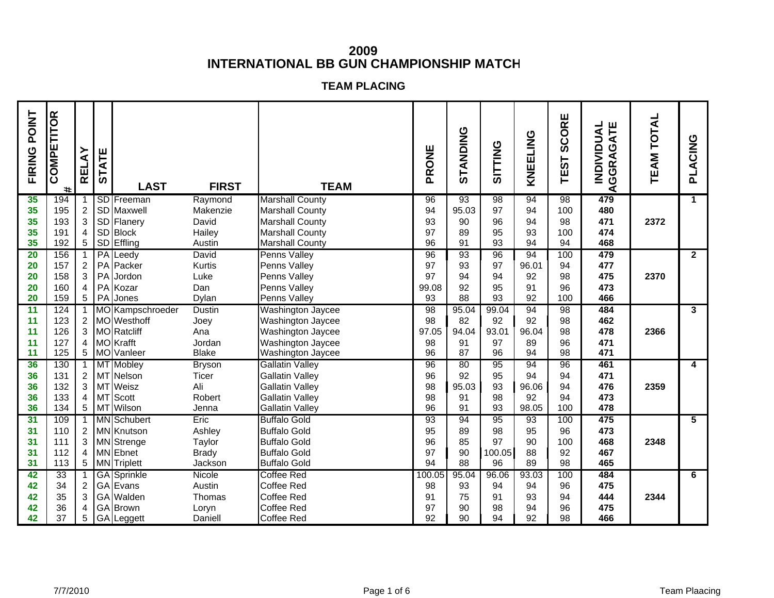## **2009INTERNATIONAL BB GUN CHAMPIONSHIP MATCH**

## **TEAM PLACING**

| FIRING POINT | COMPETITOR<br>$\ddot{}$ | <b>RELAY</b>    | <b>STATE</b> | <b>LAST</b>                     | <b>FIRST</b>           | <b>TEAM</b>                                      | PRONE    | STANDING    | <b>SITTING</b> | KNEELING | CORE<br>ဖြ<br><b>TEST</b> | ATE<br><b>INDIVIDUAL</b><br>GGRAG<br>◀ | <b>TEAM TOTAL</b> | PLACING                 |
|--------------|-------------------------|-----------------|--------------|---------------------------------|------------------------|--------------------------------------------------|----------|-------------|----------------|----------|---------------------------|----------------------------------------|-------------------|-------------------------|
| 35<br>35     | 194<br>195              | $\overline{2}$  |              | <b>SD</b> Freeman<br>SD Maxwell | Raymond<br>Makenzie    | <b>Marshall County</b><br><b>Marshall County</b> | 96<br>94 | 93<br>95.03 | 98<br>97       | 94<br>94 | 98<br>100                 | 479<br>480                             |                   | $\overline{1}$          |
| 35           | 193                     | 3               |              | SD Flanery                      | David                  | <b>Marshall County</b>                           | 93       | 90          | 96             | 94       | 98                        | 471                                    | 2372              |                         |
| 35           | 191                     | $\overline{4}$  |              | SD Block                        | Hailey                 | <b>Marshall County</b>                           | 97       | 89          | 95             | 93       | 100                       | 474                                    |                   |                         |
| 35           | 192                     | 5               |              | SD Effling                      | Austin                 | <b>Marshall County</b>                           | 96       | 91          | 93             | 94       | 94                        | 468                                    |                   |                         |
| 20           | 156                     |                 |              | PA Leedy                        | David                  | <b>Penns Valley</b>                              | 96       | 93          | 96             | 94       | 100                       | 479                                    |                   | $\overline{2}$          |
| 20           | 157                     | $\overline{a}$  |              | PA Packer                       | Kurtis                 | Penns Valley                                     | 97       | 93          | 97             | 96.01    | 94                        | 477                                    |                   |                         |
| 20           | 158                     | 3               |              | PA Jordon                       | Luke                   | Penns Valley                                     | 97       | 94          | 94             | 92       | 98                        | 475                                    | 2370              |                         |
| 20           | 160                     | 4               |              | PA Kozar                        | Dan                    | Penns Valley                                     | 99.08    | 92          | 95             | 91       | 96                        | 473                                    |                   |                         |
| 20           | 159                     | 5 <sup>5</sup>  |              | PA Jones                        | Dylan                  | <b>Penns Valley</b>                              | 93       | 88          | 93             | 92       | 100                       | 466                                    |                   |                         |
| 11           | 124                     |                 |              | 1 MO Kampschroeder              | <b>Dustin</b>          | <b>Washington Jaycee</b>                         | 98       | 95.04       | 99.04          | 94       | 98                        | 484                                    |                   | $\overline{\mathbf{3}}$ |
| 11           | 123                     | $\overline{2}$  |              | MO Westhoff                     | Joey                   | <b>Washington Jaycee</b>                         | 98       | 82          | 92             | 92       | 98                        | 462                                    |                   |                         |
| 11           | 126                     | 3               |              | MO Ratcliff                     | Ana                    | <b>Washington Jaycee</b>                         | 97.05    | 94.04       | 93.01          | 96.04    | 98                        | 478                                    | 2366              |                         |
| 11<br>11     | 127<br>125              | 4               |              | MOKrafft<br>5 MO Vanleer        | Jordan<br><b>Blake</b> | <b>Washington Jaycee</b><br>Washington Jaycee    | 98<br>96 | 91<br>87    | 97<br>96       | 89<br>94 | 96<br>98                  | 471<br>471                             |                   |                         |
| 36           | 130                     |                 |              | <b>MT</b> Mobley                | <b>Bryson</b>          | <b>Gallatin Valley</b>                           | 96       | 80          | 95             | 94       | 96                        | 461                                    |                   | 4                       |
| 36           | 131                     | $\overline{a}$  |              | MT Nelson                       | <b>Ticer</b>           | <b>Gallatin Valley</b>                           | 96       | 92          | 95             | 94       | 94                        | 471                                    |                   |                         |
| 36           | 132                     | 3               |              | MT Weisz                        | Ali                    | <b>Gallatin Valley</b>                           | 98       | 95.03       | 93             | 96.06    | 94                        | 476                                    | 2359              |                         |
| 36           | 133                     | 4               |              | MT Scott                        | Robert                 | <b>Gallatin Valley</b>                           | 98       | 91          | 98             | 92       | 94                        | 473                                    |                   |                         |
| 36           | 134                     | 5 <sup>5</sup>  |              | MT Wilson                       | Jenna                  | <b>Gallatin Valley</b>                           | 96       | 91          | 93             | 98.05    | 100                       | 478                                    |                   |                         |
| 31           | 109                     |                 |              | <b>MN</b> Schubert              | Eric                   | <b>Buffalo Gold</b>                              | 93       | 94          | 95             | 93       | 100                       | 475                                    |                   | $\overline{5}$          |
| 31           | 110                     | $\overline{2}$  |              | MN Knutson                      | Ashley                 | <b>Buffalo Gold</b>                              | 95       | 89          | 98             | 95       | 96                        | 473                                    |                   |                         |
| 31           | 111                     | 3               |              | MN Strenge                      | Taylor                 | <b>Buffalo Gold</b>                              | 96       | 85          | 97             | 90       | 100                       | 468                                    | 2348              |                         |
| 31           | 112                     | 4               |              | MN Ebnet                        | <b>Brady</b>           | <b>Buffalo Gold</b>                              | 97       | 90          | 100.05         | 88       | 92                        | 467                                    |                   |                         |
| 31           | 113                     | $5\overline{)}$ |              | MN Triplett                     | Jackson                | <b>Buffalo Gold</b>                              | 94       | 88          | 96             | 89       | 98                        | 465                                    |                   |                         |
| 42           | 33                      |                 |              | <b>GA</b> Sprinkle              | <b>Nicole</b>          | <b>Coffee Red</b>                                | 100.05   | 95.04       | 96.06          | 93.03    | 100                       | 484                                    |                   | 6                       |
| 42           | 34                      | $\overline{2}$  |              | GA Evans                        | Austin                 | Coffee Red                                       | 98       | 93          | 94             | 94       | 96                        | 475                                    |                   |                         |
| 42           | 35                      | 3               |              | GA Walden                       | Thomas                 | Coffee Red                                       | 91       | 75          | 91             | 93       | 94                        | 444                                    | 2344              |                         |
| 42           | 36                      | 4               |              | GA Brown                        | Loryn                  | <b>Coffee Red</b>                                | 97       | 90          | 98             | 94       | 96                        | 475                                    |                   |                         |
| 42           | 37                      | 5               |              | GA Leggett                      | Daniell                | <b>Coffee Red</b>                                | 92       | 90          | 94             | 92       | 98                        | 466                                    |                   |                         |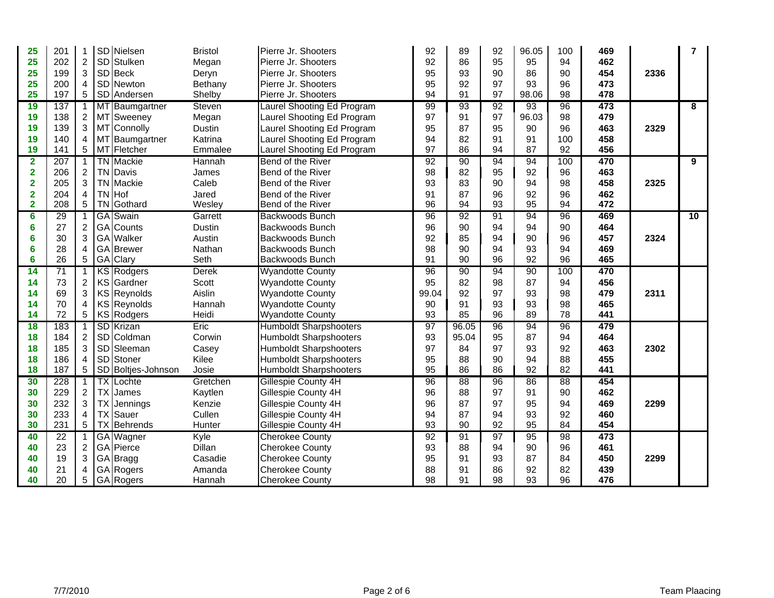| 25                      | 201             |                 |           | SD Nielsen         | <b>Bristol</b> | Pierre Jr. Shooters           | 92    | 89    | 92 | 96.05 | 100 | 469 |      | $\overline{7}$ |
|-------------------------|-----------------|-----------------|-----------|--------------------|----------------|-------------------------------|-------|-------|----|-------|-----|-----|------|----------------|
| 25                      | 202             | $\overline{2}$  |           | SD Stulken         | Megan          | Pierre Jr. Shooters           | 92    | 86    | 95 | 95    | 94  | 462 |      |                |
| 25                      | 199             | 3               |           | SD Beck            | Deryn          | Pierre Jr. Shooters           | 95    | 93    | 90 | 86    | 90  | 454 | 2336 |                |
| 25                      | 200             | $\overline{4}$  |           | SD Newton          | Bethany        | Pierre Jr. Shooters           | 95    | 92    | 97 | 93    | 96  | 473 |      |                |
| 25                      | 197             | 5 <sup>5</sup>  |           | SD Andersen        | Shelby         | Pierre Jr. Shooters           | 94    | 91    | 97 | 98.06 | 98  | 478 |      |                |
| 19                      | 137             | 1 <sup>1</sup>  |           | MT Baumgartner     | Steven         | Laurel Shooting Ed Program    | 99    | 93    | 92 | 93    | 96  | 473 |      | 8              |
| 19                      | 138             | $\overline{2}$  |           | MT Sweeney         | Megan          | Laurel Shooting Ed Program    | 97    | 91    | 97 | 96.03 | 98  | 479 |      |                |
| 19                      | 139             | 3               |           | MT Connolly        | Dustin         | Laurel Shooting Ed Program    | 95    | 87    | 95 | 90    | 96  | 463 | 2329 |                |
| 19                      | 140             | 4               |           | MT Baumgartner     | Katrina        | Laurel Shooting Ed Program    | 94    | 82    | 91 | 91    | 100 | 458 |      |                |
| 19                      | 141             | 5               |           | MT Fletcher        | Emmalee        | Laurel Shooting Ed Program    | 97    | 86    | 94 | 87    | 92  | 456 |      |                |
| 2                       | 207             |                 |           | <b>TN Mackie</b>   | Hannah         | Bend of the River             | 92    | 90    | 94 | 94    | 100 | 470 |      | $\overline{9}$ |
| $\overline{\mathbf{2}}$ | 206             | $\overline{2}$  |           | <b>TN</b> Davis    | James          | Bend of the River             | 98    | 82    | 95 | 92    | 96  | 463 |      |                |
| $\overline{2}$          | 205             | 3               |           | <b>TN</b> Mackie   | Caleb          | Bend of the River             | 93    | 83    | 90 | 94    | 98  | 458 | 2325 |                |
| $\overline{2}$          | 204             | 4               |           | TN Hof             | Jared          | Bend of the River             | 91    | 87    | 96 | 92    | 96  | 462 |      |                |
| $\mathbf{2}$            | 208             | $5\phantom{.0}$ |           | <b>TN</b> Gothard  | Wesley         | Bend of the River             | 96    | 94    | 93 | 95    | 94  | 472 |      |                |
| 6                       | 29              | 1               |           | <b>GA</b> Swain    | Garrett        | Backwoods Bunch               | 96    | 92    | 91 | 94    | 96  | 469 |      | 10             |
| $6\phantom{1}6$         | 27              | $\overline{c}$  |           | GA Counts          | Dustin         | Backwoods Bunch               | 96    | 90    | 94 | 94    | 90  | 464 |      |                |
| 6                       | 30              | 3               |           | GA Walker          | Austin         | <b>Backwoods Bunch</b>        | 92    | 85    | 94 | 90    | 96  | 457 | 2324 |                |
| $6\phantom{1}6$         | 28              | 4               |           | <b>GA</b> Brewer   | Nathan         | Backwoods Bunch               | 98    | 90    | 94 | 93    | 94  | 469 |      |                |
| 6                       | 26              | 5               |           | GA Clary           | Seth           | <b>Backwoods Bunch</b>        | 91    | 90    | 96 | 92    | 96  | 465 |      |                |
| 14                      | $\overline{71}$ |                 |           | <b>KS Rodgers</b>  | <b>Derek</b>   | <b>Wyandotte County</b>       | 96    | 90    | 94 | 90    | 100 | 470 |      |                |
| 14                      | 73              | 2               |           | KS Gardner         | Scott          | <b>Wyandotte County</b>       | 95    | 82    | 98 | 87    | 94  | 456 |      |                |
| 14                      | 69              | 3               |           | KS Reynolds        | Aislin         | <b>Wyandotte County</b>       | 99.04 | 92    | 97 | 93    | 98  | 479 | 2311 |                |
| 14                      | 70              | 4               |           | <b>KS Reynolds</b> | Hannah         | <b>Wyandotte County</b>       | 90    | 91    | 93 | 93    | 98  | 465 |      |                |
| 14                      | 72              | $5\phantom{.0}$ |           | KS Rodgers         | Heidi          | <b>Wyandotte County</b>       | 93    | 85    | 96 | 89    | 78  | 441 |      |                |
| 18                      | 183             |                 |           | SD Krizan          | Eric           | <b>Humboldt Sharpshooters</b> | 97    | 96.05 | 96 | 94    | 96  | 479 |      |                |
| 18                      | 184             | $\overline{2}$  |           | SD Coldman         | Corwin         | Humboldt Sharpshooters        | 93    | 95.04 | 95 | 87    | 94  | 464 |      |                |
| 18                      | 185             | 3               |           | SD Sleeman         | Casey          | <b>Humboldt Sharpshooters</b> | 97    | 84    | 97 | 93    | 92  | 463 | 2302 |                |
| 18                      | 186             | 4               |           | SD Stoner          | Kilee          | <b>Humboldt Sharpshooters</b> | 95    | 88    | 90 | 94    | 88  | 455 |      |                |
| 18                      | 187             | 5               |           | SD Boltjes-Johnson | Josie          | <b>Humboldt Sharpshooters</b> | 95    | 86    | 86 | 92    | 82  | 441 |      |                |
| 30                      | 228             |                 |           | <b>TX</b> Lochte   | Gretchen       | Gillespie County 4H           | 96    | 88    | 96 | 86    | 88  | 454 |      |                |
| 30                      | 229             | $\overline{2}$  | <b>TX</b> | James              | Kaytlen        | Gillespie County 4H           | 96    | 88    | 97 | 91    | 90  | 462 |      |                |
| 30                      | 232             | 3               | TX I      | Jennings           | Kenzie         | Gillespie County 4H           | 96    | 87    | 97 | 95    | 94  | 469 | 2299 |                |
| 30                      | 233             | 4               |           | <b>TX</b> Sauer    | Cullen         | Gillespie County 4H           | 94    | 87    | 94 | 93    | 92  | 460 |      |                |
| 30                      | 231             | 5               |           | <b>TX</b> Behrends | Hunter         | Gillespie County 4H           | 93    | 90    | 92 | 95    | 84  | 454 |      |                |
| 40                      | 22              |                 |           | <b>GA</b> Wagner   | Kyle           | <b>Cherokee County</b>        | 92    | 91    | 97 | 95    | 98  | 473 |      |                |
| 40                      | 23              | $\overline{2}$  |           | GA Pierce          | Dillan         | <b>Cherokee County</b>        | 93    | 88    | 94 | 90    | 96  | 461 |      |                |
| 40                      | 19              | 3               |           | GA Bragg           | Casadie        | <b>Cherokee County</b>        | 95    | 91    | 93 | 87    | 84  | 450 | 2299 |                |
| 40                      | 21              | 4               |           | GA Rogers          | Amanda         | Cherokee County               | 88    | 91    | 86 | 92    | 82  | 439 |      |                |
| 40                      | 20              | 5               |           | GA Rogers          | Hannah         | <b>Cherokee County</b>        | 98    | 91    | 98 | 93    | 96  | 476 |      |                |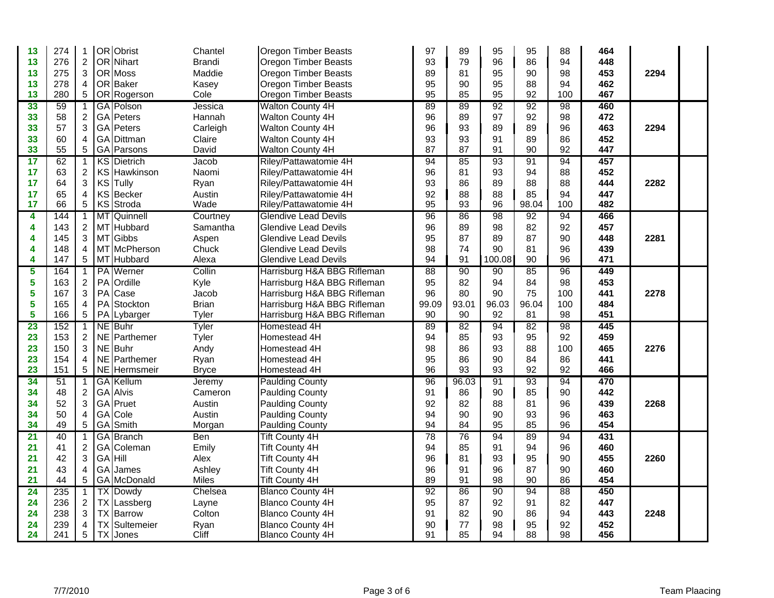| 13              | 274 | 1                       | OR Obrist            | Chantel       | Oregon Timber Beasts        | 97    | 89    | 95     | 95    | 88  | 464 |      |  |
|-----------------|-----|-------------------------|----------------------|---------------|-----------------------------|-------|-------|--------|-------|-----|-----|------|--|
| 13              | 276 | $\overline{2}$          | OR Nihart            | <b>Brandi</b> | Oregon Timber Beasts        | 93    | 79    | 96     | 86    | 94  | 448 |      |  |
| 13              | 275 | 3                       | OR Moss              | Maddie        | <b>Oregon Timber Beasts</b> | 89    | 81    | 95     | 90    | 98  | 453 | 2294 |  |
| 13              | 278 | 4                       | OR Baker             | Kasey         | Oregon Timber Beasts        | 95    | 90    | 95     | 88    | 94  | 462 |      |  |
| 13              | 280 | $\sqrt{5}$              | OR Rogerson          | Cole          | Oregon Timber Beasts        | 95    | 85    | 95     | 92    | 100 | 467 |      |  |
| 33              | 59  |                         | GA Polson            | Jessica       | Walton County 4H            | 89    | 89    | 92     | 92    | 98  | 460 |      |  |
| 33              | 58  | $\boldsymbol{2}$        | GA Peters            | Hannah        | Walton County 4H            | 96    | 89    | 97     | 92    | 98  | 472 |      |  |
| 33              | 57  | $\mathbf{3}$            | GA Peters            | Carleigh      | <b>Walton County 4H</b>     | 96    | 93    | 89     | 89    | 96  | 463 | 2294 |  |
| 33              | 60  | 4                       | GA Dittman           | Claire        | Walton County 4H            | 93    | 93    | 91     | 89    | 86  | 452 |      |  |
| 33              | 55  | $\sqrt{5}$              | GA Parsons           | David         | Walton County 4H            | 87    | 87    | 91     | 90    | 92  | 447 |      |  |
| 17              | 62  | 1                       | <b>KS</b> Dietrich   | Jacob         | Riley/Pattawatomie 4H       | 94    | 85    | 93     | 91    | 94  | 457 |      |  |
| 17              | 63  | $\overline{c}$          | KS Hawkinson         | Naomi         | Riley/Pattawatomie 4H       | 96    | 81    | 93     | 94    | 88  | 452 |      |  |
| 17              | 64  | $\mathfrak{S}$          | KS Tully             | Ryan          | Riley/Pattawatomie 4H       | 93    | 86    | 89     | 88    | 88  | 444 | 2282 |  |
| 17              | 65  | $\overline{4}$          | KS Becker            | Austin        | Riley/Pattawatomie 4H       | 92    | 88    | 88     | 85    | 94  | 447 |      |  |
| 17              | 66  | 5                       | KS Stroda            | Wade          | Riley/Pattawatomie 4H       | 95    | 93    | 96     | 98.04 | 100 | 482 |      |  |
| 4               | 144 | 1                       | MT Quinnell          | Courtney      | <b>Glendive Lead Devils</b> | 96    | 86    | 98     | 92    | 94  | 466 |      |  |
| 4               | 143 | $\overline{2}$          | MT Hubbard           | Samantha      | <b>Glendive Lead Devils</b> | 96    | 89    | 98     | 82    | 92  | 457 |      |  |
| 4               | 145 | $\mathbf{3}$            | MT Gibbs             | Aspen         | <b>Glendive Lead Devils</b> | 95    | 87    | 89     | 87    | 90  | 448 | 2281 |  |
| 4               | 148 | $\overline{4}$          | MT McPherson         | Chuck         | <b>Glendive Lead Devils</b> | 98    | 74    | 90     | 81    | 96  | 439 |      |  |
| 4               | 147 | 5                       | MT Hubbard           | Alexa         | <b>Glendive Lead Devils</b> | 94    | 91    | 100.08 | 90    | 96  | 471 |      |  |
| 5               | 164 | 1                       | PA Werner            | Collin        | Harrisburg H&A BBG Rifleman | 88    | 90    | 90     | 85    | 96  | 449 |      |  |
| 5               | 163 | $\overline{2}$          | PA Ordille           | Kyle          | Harrisburg H&A BBG Rifleman | 95    | 82    | 94     | 84    | 98  | 453 |      |  |
| 5               | 167 | 3                       | PA Case              | Jacob         | Harrisburg H&A BBG Rifleman | 96    | 80    | 90     | 75    | 100 | 441 | 2278 |  |
| 5               | 165 | $\overline{4}$          | PA Stockton          | <b>Brian</b>  | Harrisburg H&A BBG Rifleman | 99.09 | 93.01 | 96.03  | 96.04 | 100 | 484 |      |  |
| 5               | 166 | $5\phantom{.0}$         | PA Lybarger          | Tyler         | Harrisburg H&A BBG Rifleman | 90    | 90    | 92     | 81    | 98  | 451 |      |  |
| 23              | 152 |                         | NE Buhr              | Tyler         | Homestead 4H                | 89    | 82    | 94     | 82    | 98  | 445 |      |  |
| 23              | 153 | $\sqrt{2}$              | NE Parthemer         | Tyler         | Homestead 4H                | 94    | 85    | 93     | 95    | 92  | 459 |      |  |
| 23              | 150 | 3                       | NE Buhr              | Andy          | Homestead 4H                | 98    | 86    | 93     | 88    | 100 | 465 | 2276 |  |
| 23              | 154 | 4                       | NE Parthemer         | Ryan          | Homestead 4H                | 95    | 86    | 90     | 84    | 86  | 441 |      |  |
| 23              | 151 | 5                       | NE Hermsmeir         | <b>Bryce</b>  | Homestead 4H                | 96    | 93    | 93     | 92    | 92  | 466 |      |  |
| 34              | 51  | $\mathbf{1}$            | <b>GA</b> Kellum     | Jeremy        | <b>Paulding County</b>      | 96    | 96.03 | 91     | 93    | 94  | 470 |      |  |
| 34              | 48  | $\overline{\mathbf{c}}$ | <b>GA</b> Alvis      | Cameron       | <b>Paulding County</b>      | 91    | 86    | 90     | 85    | 90  | 442 |      |  |
| 34              | 52  | $\mathfrak{S}$          | GA Pruet             | Austin        | <b>Paulding County</b>      | 92    | 82    | 88     | 81    | 96  | 439 | 2268 |  |
| 34              | 50  | $\overline{4}$          | GA Cole              | Austin        | <b>Paulding County</b>      | 94    | 90    | 90     | 93    | 96  | 463 |      |  |
| 34              | 49  | 5                       | GA Smith             | Morgan        | Paulding County             | 94    | 84    | 95     | 85    | 96  | 454 |      |  |
| $\overline{21}$ | 40  | 1                       | <b>GA</b> Branch     | <b>Ben</b>    | <b>Tift County 4H</b>       | 78    | 76    | 94     | 89    | 94  | 431 |      |  |
| 21              | 41  | $\boldsymbol{2}$        | GA Coleman           | Emily         | <b>Tift County 4H</b>       | 94    | 85    | 91     | 94    | 96  | 460 |      |  |
| 21              | 42  | $\mathbf{3}$            | GA Hill              | Alex          | <b>Tift County 4H</b>       | 96    | 81    | 93     | 95    | 90  | 455 | 2260 |  |
| 21              | 43  | $\overline{4}$          | GA James             | Ashley        | Tift County 4H              | 96    | 91    | 96     | 87    | 90  | 460 |      |  |
| 21              | 44  | 5                       | GA McDonald          | <b>Miles</b>  | <b>Tift County 4H</b>       | 89    | 91    | 98     | 90    | 86  | 454 |      |  |
| 24              | 235 | $\mathbf{1}$            | <b>TX Dowdy</b>      | Chelsea       | <b>Blanco County 4H</b>     | 92    | 86    | 90     | 94    | 88  | 450 |      |  |
| 24              | 236 | $\overline{2}$          | <b>TX</b> Lassberg   | Layne         | <b>Blanco County 4H</b>     | 95    | 87    | 92     | 91    | 82  | 447 |      |  |
| 24              | 238 | 3                       | <b>TX</b> Barrow     | Colton        | <b>Blanco County 4H</b>     | 91    | 82    | 90     | 86    | 94  | 443 | 2248 |  |
| 24              | 239 | 4                       | <b>TX</b> Sultemeier | Ryan          | <b>Blanco County 4H</b>     | 90    | 77    | 98     | 95    | 92  | 452 |      |  |
| 24              | 241 | $\sqrt{5}$              | <b>TX</b> Jones      | Cliff         | <b>Blanco County 4H</b>     | 91    | 85    | 94     | 88    | 98  | 456 |      |  |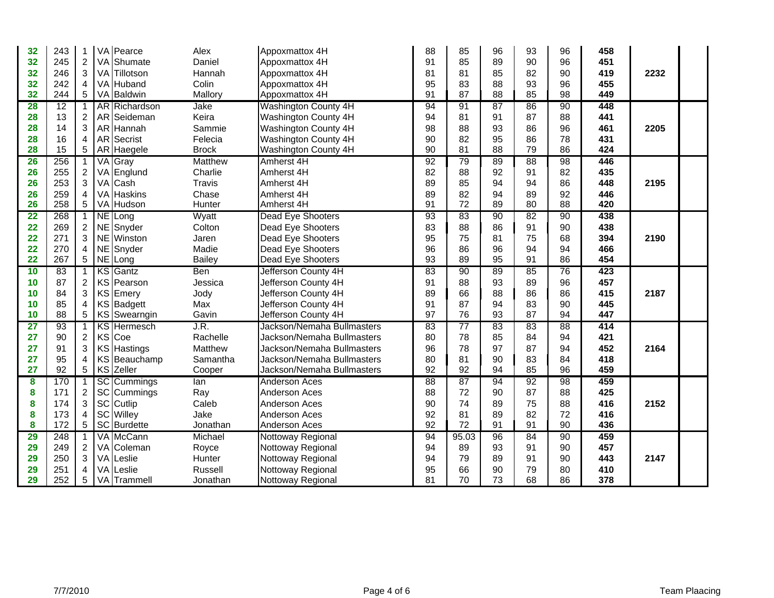| 32        | 243 |                | VA Pearce            | Alex          | Appoxmattox 4H             | 88              | 85              | 96 | 93 | 96              | 458 |      |  |
|-----------|-----|----------------|----------------------|---------------|----------------------------|-----------------|-----------------|----|----|-----------------|-----|------|--|
| 32        | 245 | $\overline{2}$ | VA Shumate           | Daniel        | Appoxmattox 4H             | 91              | 85              | 89 | 90 | 96              | 451 |      |  |
| 32        | 246 | 3              | VA Tillotson         | Hannah        | Appoxmattox 4H             | 81              | 81              | 85 | 82 | 90              | 419 | 2232 |  |
| 32        | 242 | 4              | VA Huband            | Colin         | Appoxmattox 4H             | 95              | 83              | 88 | 93 | 96              | 455 |      |  |
| 32        | 244 | 5 <sup>5</sup> | VA Baldwin           | Mallory       | Appoxmattox 4H             | 91              | 87              | 88 | 85 | 98              | 449 |      |  |
| <b>28</b> | 12  | $\mathbf{1}$   | <b>AR</b> Richardson | Jake          | Washington County 4H       | 94              | 91              | 87 | 86 | 90              | 448 |      |  |
| 28        | 13  | $\overline{a}$ | AR Seideman          | Keira         | Washington County 4H       | 94              | 81              | 91 | 87 | 88              | 441 |      |  |
| 28        | 14  | 3              | AR Hannah            | Sammie        | Washington County 4H       | 98              | 88              | 93 | 86 | 96              | 461 | 2205 |  |
| 28        | 16  | 4              | AR Secrist           | Felecia       | Washington County 4H       | 90              | 82              | 95 | 86 | 78              | 431 |      |  |
| 28        | 15  | 5              | AR Haegele           | <b>Brock</b>  | Washington County 4H       | 90              | 81              | 88 | 79 | 86              | 424 |      |  |
| 26        | 256 |                | VA Gray              | Matthew       | Amherst 4H                 | 92              | 79              | 89 | 88 | 98              | 446 |      |  |
| 26        | 255 | $\overline{c}$ | VA Englund           | Charlie       | Amherst 4H                 | 82              | 88              | 92 | 91 | 82              | 435 |      |  |
| 26        | 253 | 3              | VA Cash              | <b>Travis</b> | Amherst 4H                 | 89              | 85              | 94 | 94 | 86              | 448 | 2195 |  |
| 26        | 259 | 4              | VA Haskins           | Chase         | Amherst 4H                 | 89              | 82              | 94 | 89 | 92              | 446 |      |  |
| 26        | 258 | 5              | VA Hudson            | Hunter        | Amherst 4H                 | 91              | 72              | 89 | 80 | 88              | 420 |      |  |
| 22        | 268 | 1              | NE Long              | Wyatt         | Dead Eye Shooters          | 93              | 83              | 90 | 82 | 90              | 438 |      |  |
| 22        | 269 | $\overline{2}$ | NE Snyder            | Colton        | Dead Eye Shooters          | 83              | 88              | 86 | 91 | 90              | 438 |      |  |
| 22        | 271 | 3              | NE Winston           | Jaren         | Dead Eye Shooters          | 95              | 75              | 81 | 75 | 68              | 394 | 2190 |  |
| 22        | 270 | 4              | NE Snyder            | Madie         | Dead Eye Shooters          | 96              | 86              | 96 | 94 | 94              | 466 |      |  |
| 22        | 267 | 5 <sub>5</sub> | NE Long              | Bailey        | Dead Eye Shooters          | 93              | 89              | 95 | 91 | 86              | 454 |      |  |
| 10        | 83  |                | <b>KS</b> Gantz      | <b>Ben</b>    | Jefferson County 4H        | 83              | 90              | 89 | 85 | 76              | 423 |      |  |
| 10        | 87  | $\overline{2}$ | KS Pearson           | Jessica       | Jefferson County 4H        | 91              | 88              | 93 | 89 | 96              | 457 |      |  |
| 10        | 84  | 3              | KS Emery             | Jody          | Jefferson County 4H        | 89              | 66              | 88 | 86 | 86              | 415 | 2187 |  |
| 10        | 85  | 4              | KS Badgett           | Max           | Jefferson County 4H        | 91              | 87              | 94 | 83 | 90              | 445 |      |  |
| 10        | 88  | 5              | KS Swearngin         | Gavin         | Jefferson County 4H        | 97              | 76              | 93 | 87 | 94              | 447 |      |  |
| 27        | 93  | 1              | <b>KS</b> Hermesch   | J.R.          | Jackson/Nemaha Bullmasters | 83              | $\overline{77}$ | 83 | 83 | $\overline{88}$ | 414 |      |  |
| 27        | 90  | $\overline{a}$ | KS Coe               | Rachelle      | Jackson/Nemaha Bullmasters | 80              | 78              | 85 | 84 | 94              | 421 |      |  |
| 27        | 91  | 3              | KS Hastings          | Matthew       | Jackson/Nemaha Bullmasters | 96              | 78              | 97 | 87 | 94              | 452 | 2164 |  |
| 27        | 95  | 4              | KS Beauchamp         | Samantha      | Jackson/Nemaha Bullmasters | 80              | 81              | 90 | 83 | 84              | 418 |      |  |
| 27        | 92  | 5              | KS Zeller            | Cooper        | Jackson/Nemaha Bullmasters | 92              | 92              | 94 | 85 | 96              | 459 |      |  |
| 8         | 170 | $\mathbf{1}$   | <b>SC</b> Cummings   | lan           | <b>Anderson Aces</b>       | $\overline{88}$ | 87              | 94 | 92 | 98              | 459 |      |  |
| 8         | 171 | $\overline{2}$ | SC Cummings          | Ray           | <b>Anderson Aces</b>       | 88              | 72              | 90 | 87 | 88              | 425 |      |  |
| 8         | 174 | 3              | SC Cutlip            | Caleb         | <b>Anderson Aces</b>       | 90              | 74              | 89 | 75 | 88              | 416 | 2152 |  |
| 8         | 173 | 4              | SC Willey            | Jake          | <b>Anderson Aces</b>       | 92              | 81              | 89 | 82 | 72              | 416 |      |  |
| 8         | 172 | 5              | SC Burdette          | Jonathan      | Anderson Aces              | 92              | 72              | 91 | 91 | 90              | 436 |      |  |
| 29        | 248 |                | VA McCann            | Michael       | Nottoway Regional          | 94              | 95.03           | 96 | 84 | 90              | 459 |      |  |
| 29        | 249 | 2              | VA Coleman           | Royce         | Nottoway Regional          | 94              | 89              | 93 | 91 | 90              | 457 |      |  |
| 29        | 250 | 3              | VA Leslie            | Hunter        | Nottoway Regional          | 94              | 79              | 89 | 91 | 90              | 443 | 2147 |  |
| 29        | 251 | 4              | VA Leslie            | Russell       | Nottoway Regional          | 95              | 66              | 90 | 79 | 80              | 410 |      |  |
| 29        | 252 | 5              | VA Trammell          | Jonathan      | Nottoway Regional          | 81              | 70              | 73 | 68 | 86              | 378 |      |  |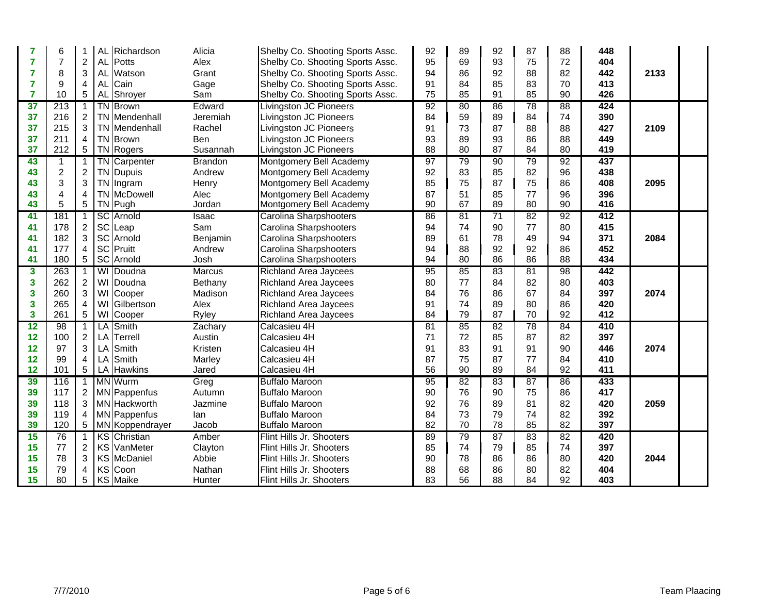| 7              | 6                |                |           | AL Richardson        | Alicia           | Shelby Co. Shooting Sports Assc.                     | 92       | 89       | 92              | 87       | 88              | 448        |      |  |
|----------------|------------------|----------------|-----------|----------------------|------------------|------------------------------------------------------|----------|----------|-----------------|----------|-----------------|------------|------|--|
| $\overline{7}$ | $\overline{7}$   | $\overline{c}$ | <b>AL</b> | Potts                | Alex             | Shelby Co. Shooting Sports Assc.                     | 95       | 69       | 93              | 75       | 72              | 404        |      |  |
| $\overline{7}$ | 8                | 3              | <b>AL</b> | Watson               | Grant            | Shelby Co. Shooting Sports Assc.                     | 94       | 86       | 92              | 88       | 82              | 442        | 2133 |  |
| 7              | 9                | 4              | <b>AL</b> | Cain                 | Gage             | Shelby Co. Shooting Sports Assc.                     | 91       | 84       | 85              | 83       | 70              | 413        |      |  |
| $\overline{7}$ | 10               | 5              |           | AL Shroyer           | Sam              | Shelby Co. Shooting Sports Assc.                     | 75       | 85       | 91              | 85       | 90              | 426        |      |  |
| 37             | $\overline{213}$ | $\mathbf 1$    |           | <b>TN</b> Brown      | Edward           | <b>Livingston JC Pioneers</b>                        | 92       | 80       | 86              | 78       | $\overline{88}$ | 424        |      |  |
| 37             | 216              | $\overline{c}$ |           | <b>TN</b> Mendenhall | Jeremiah         | Livingston JC Pioneers                               | 84       | 59       | 89              | 84       | 74              | 390        |      |  |
| 37             | 215              | 3              |           | <b>TN</b> Mendenhall | Rachel           | Livingston JC Pioneers                               | 91       | 73       | 87              | 88       | 88              | 427        | 2109 |  |
| 37             | 211              | 4              |           | <b>TN</b> Brown      | Ben              | Livingston JC Pioneers                               | 93       | 89       | 93              | 86       | 88              | 449        |      |  |
| 37             | 212              | 5              |           | TN Rogers            | Susannah         | Livingston JC Pioneers                               | 88       | 80       | 87              | 84       | 80              | 419        |      |  |
| 43             | $\overline{1}$   |                |           | <b>TN</b> Carpenter  | <b>Brandon</b>   | Montgomery Bell Academy                              | 97       | 79       | 90              | 79       | 92              | 437        |      |  |
| 43             | $\sqrt{2}$       | $\overline{c}$ |           | <b>TN</b> Dupuis     | Andrew           | Montgomery Bell Academy                              | 92       | 83       | 85              | 82       | 96              | 438        |      |  |
| 43             | 3                | 3              |           | TN Ingram            | Henry            | Montgomery Bell Academy                              | 85       | 75       | 87              | 75       | 86              | 408        | 2095 |  |
| 43             | 4                | 4              |           | <b>TN</b> McDowell   | Alec             | Montgomery Bell Academy                              | 87       | 51       | 85              | 77       | 96              | 396        |      |  |
| 43             | 5                | 5              |           | TN Pugh              | Jordan           | Montgomery Bell Academy                              | 90       | 67       | 89              | 80       | 90              | 416        |      |  |
| 41             | 181              | 1              |           | <b>SC</b> Arnold     | Isaac            | Carolina Sharpshooters                               | 86       | 81       | $\overline{71}$ | 82       | 92              | 412        |      |  |
| 41             | 178              | $\overline{2}$ |           | SC Leap              | Sam              | Carolina Sharpshooters                               | 94       | 74       | 90              | 77       | 80              | 415        |      |  |
| 41             | 182              | 3              |           | SC Arnold            | Benjamin         | Carolina Sharpshooters                               | 89       | 61       | 78              | 49       | 94              | 371        | 2084 |  |
| 41             | 177              | $\overline{4}$ |           | SC Pruitt            | Andrew           | Carolina Sharpshooters                               | 94       | 88       | 92              | 92       | 86              | 452        |      |  |
| 41             | 180              | 5              |           | SC Arnold            | Josh             | Carolina Sharpshooters                               | 94       | 80       | 86              | 86       | 88              | 434        |      |  |
| 3              | 263              |                |           | WI Doudna            | <b>Marcus</b>    | <b>Richland Area Jaycees</b>                         | 95       | 85       | 83              | 81       | 98              | 442        |      |  |
|                |                  |                |           |                      |                  |                                                      |          |          |                 |          |                 |            |      |  |
| 3              | 262              | $\overline{c}$ |           | WI Doudna            | Bethany          | <b>Richland Area Jaycees</b>                         | 80       | 77       | 84              | 82       | 80              | 403        |      |  |
| 3              | 260              | 3              |           | WI Cooper            | Madison          | <b>Richland Area Jaycees</b>                         | 84       | 76       | 86              | 67       | 84              | 397        | 2074 |  |
| 3              | 265              | 4              |           | WI Gilbertson        | Alex             | <b>Richland Area Jaycees</b>                         | 91       | 74       | 89              | 80       | 86              | 420        |      |  |
| 3              | 261              | 5              |           | WI Cooper            | Ryley            | Richland Area Jaycees                                | 84       | 79       | 87              | 70       | 92              | 412        |      |  |
| 12             | 98               |                |           | LA Smith             | Zachary          | Calcasieu 4H                                         | 81       | 85       | $\overline{82}$ | 78       | 84              | 410        |      |  |
| 12             | 100              | $\overline{c}$ | LA        | Terrell              | Austin           | Calcasieu 4H                                         | 71       | 72       | 85              | 87       | 82              | 397        |      |  |
| 12             | 97               | 3              | LA        | Smith                | Kristen          | Calcasieu 4H                                         | 91       | 83       | 91              | 91       | 90              | 446        | 2074 |  |
| 12             | 99               | $\overline{4}$ | LA        | Smith                | Marley           | Calcasieu 4H                                         | 87       | 75       | 87              | 77       | 84              | 410        |      |  |
| 12             | 101              | 5              |           | LA Hawkins           | Jared            | Calcasieu 4H                                         | 56       | 90       | 89              | 84       | 92              | 411        |      |  |
| 39             | 116              | 1              |           | <b>MN</b> Wurm       | Greg             | <b>Buffalo Maroon</b>                                | 95       | 82       | 83              | 87       | 86              | 433        |      |  |
| 39             | 117              | $\overline{a}$ |           | MN Pappenfus         | Autumn           | <b>Buffalo Maroon</b>                                | 90       | 76       | 90              | 75       | 86              | 417        |      |  |
| 39             | 118              | 3              |           | MN Hackworth         | Jazmine          | <b>Buffalo Maroon</b>                                | 92       | 76       | 89              | 81       | 82              | 420        | 2059 |  |
| 39             | 119              | 4              |           | <b>MN</b> Pappenfus  | lan              | <b>Buffalo Maroon</b>                                | 84       | 73       | 79              | 74       | 82              | 392        |      |  |
| 39             | 120              | 5              |           | MN Koppendrayer      | Jacob            | <b>Buffalo Maroon</b>                                | 82       | 70       | 78              | 85       | 82              | 397        |      |  |
| 15             | 76               |                |           | <b>KS</b> Christian  | Amber            | Flint Hills Jr. Shooters                             | 89       | 79       | 87              | 83       | 82              | 420        |      |  |
| 15             | 77               | $\overline{a}$ |           | <b>KS</b> VanMeter   | Clayton          | Flint Hills Jr. Shooters                             | 85       | 74       | 79              | 85       | 74              | 397        |      |  |
| 15             | 78               | 3              |           | KS McDaniel          | Abbie            | Flint Hills Jr. Shooters                             | 90       | 78       | 86              | 86       | 80              | 420        | 2044 |  |
| 15<br>15       | 79<br>80         | 4<br>5         |           | KS Coon<br>KS Maike  | Nathan<br>Hunter | Flint Hills Jr. Shooters<br>Flint Hills Jr. Shooters | 88<br>83 | 68<br>56 | 86<br>88        | 80<br>84 | 82<br>92        | 404<br>403 |      |  |